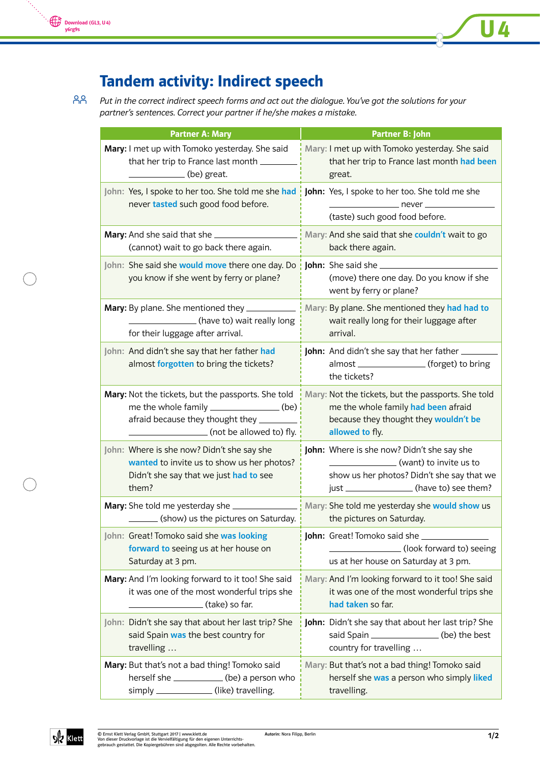## Tandem activity: Indirect speech

Put in the correct indirect speech forms and act out the dialogue. You've got the solutions for your partner's sentences. Correct your partner if he/she makes a mistake. 88

| <b>Partner A: Mary</b>                                                                                                                                                                                                                                                                                                                                                                                               | <b>Partner B: John</b>                                                                                                   |
|----------------------------------------------------------------------------------------------------------------------------------------------------------------------------------------------------------------------------------------------------------------------------------------------------------------------------------------------------------------------------------------------------------------------|--------------------------------------------------------------------------------------------------------------------------|
| Mary: I met up with Tomoko yesterday. She said                                                                                                                                                                                                                                                                                                                                                                       | Mary: I met up with Tomoko yesterday. She said                                                                           |
| that her trip to France last month ______                                                                                                                                                                                                                                                                                                                                                                            | that her trip to France last month had been                                                                              |
| $\frac{1}{\sqrt{1-\frac{1}{2}}\sqrt{1-\frac{1}{2}}\sqrt{1-\frac{1}{2}}\sqrt{1-\frac{1}{2}}\sqrt{1-\frac{1}{2}}\sqrt{1-\frac{1}{2}}\sqrt{1-\frac{1}{2}}\sqrt{1-\frac{1}{2}}\sqrt{1-\frac{1}{2}}\sqrt{1-\frac{1}{2}}\sqrt{1-\frac{1}{2}}\sqrt{1-\frac{1}{2}}\sqrt{1-\frac{1}{2}}\sqrt{1-\frac{1}{2}}\sqrt{1-\frac{1}{2}}\sqrt{1-\frac{1}{2}}\sqrt{1-\frac{1}{2}}\sqrt{1-\frac{1}{2}}\sqrt{1-\frac{1}{2}}\sqrt{1-\frac$ | great.                                                                                                                   |
| John: Yes, I spoke to her too. She told me she had<br>never tasted such good food before.                                                                                                                                                                                                                                                                                                                            | John: Yes, I spoke to her too. She told me she<br>__________________ never ___________<br>(taste) such good food before. |
|                                                                                                                                                                                                                                                                                                                                                                                                                      | Mary: And she said that she couldn't wait to go                                                                          |
| (cannot) wait to go back there again.                                                                                                                                                                                                                                                                                                                                                                                | back there again.                                                                                                        |
| John: She said she would move there one day. Do<br>you know if she went by ferry or plane?                                                                                                                                                                                                                                                                                                                           | <b>John:</b> She said she<br>(move) there one day. Do you know if she<br>went by ferry or plane?                         |
| Mary: By plane. She mentioned they ____________                                                                                                                                                                                                                                                                                                                                                                      | Mary: By plane. She mentioned they had had to                                                                            |
| (have to) wait really long                                                                                                                                                                                                                                                                                                                                                                                           | wait really long for their luggage after                                                                                 |
| for their luggage after arrival.                                                                                                                                                                                                                                                                                                                                                                                     | arrival.                                                                                                                 |
| John: And didn't she say that her father had<br>almost forgotten to bring the tickets?                                                                                                                                                                                                                                                                                                                               | <b>John:</b> And didn't she say that her father<br>almost _________________(forget) to bring<br>the tickets?             |
| Mary: Not the tickets, but the passports. She told                                                                                                                                                                                                                                                                                                                                                                   | Mary: Not the tickets, but the passports. She told                                                                       |
| me the whole family _________________(be)                                                                                                                                                                                                                                                                                                                                                                            | me the whole family had been afraid                                                                                      |
| afraid because they thought they ________                                                                                                                                                                                                                                                                                                                                                                            | because they thought they wouldn't be                                                                                    |
| (not be allowed to) fly.                                                                                                                                                                                                                                                                                                                                                                                             | allowed to fly.                                                                                                          |
| John: Where is she now? Didn't she say she                                                                                                                                                                                                                                                                                                                                                                           | John: Where is she now? Didn't she say she                                                                               |
| wanted to invite us to show us her photos?                                                                                                                                                                                                                                                                                                                                                                           | (want) to invite us to                                                                                                   |
| Didn't she say that we just had to see                                                                                                                                                                                                                                                                                                                                                                               | show us her photos? Didn't she say that we                                                                               |
| them?                                                                                                                                                                                                                                                                                                                                                                                                                | just _________________(have to) see them?                                                                                |
| Mary: She told me yesterday she _                                                                                                                                                                                                                                                                                                                                                                                    | Mary: She told me yesterday she would show us                                                                            |
| ________ (show) us the pictures on Saturday. <u> </u>                                                                                                                                                                                                                                                                                                                                                                | the pictures on Saturday.                                                                                                |
| John: Great! Tomoko said she was looking                                                                                                                                                                                                                                                                                                                                                                             |                                                                                                                          |
| forward to seeing us at her house on                                                                                                                                                                                                                                                                                                                                                                                 | (look forward to) seeing                                                                                                 |
| Saturday at 3 pm.                                                                                                                                                                                                                                                                                                                                                                                                    | us at her house on Saturday at 3 pm.                                                                                     |
| Mary: And I'm looking forward to it too! She said                                                                                                                                                                                                                                                                                                                                                                    | Mary: And I'm looking forward to it too! She said                                                                        |
| it was one of the most wonderful trips she                                                                                                                                                                                                                                                                                                                                                                           | it was one of the most wonderful trips she                                                                               |
| (take) so far.                                                                                                                                                                                                                                                                                                                                                                                                       | had taken so far.                                                                                                        |
| John: Didn't she say that about her last trip? She                                                                                                                                                                                                                                                                                                                                                                   | John: Didn't she say that about her last trip? She                                                                       |
| said Spain was the best country for                                                                                                                                                                                                                                                                                                                                                                                  | said Spain _______________(be) the best                                                                                  |
| travelling                                                                                                                                                                                                                                                                                                                                                                                                           | country for travelling                                                                                                   |
| Mary: But that's not a bad thing! Tomoko said                                                                                                                                                                                                                                                                                                                                                                        | Mary: But that's not a bad thing! Tomoko said                                                                            |
| herself she ______________(be) a person who                                                                                                                                                                                                                                                                                                                                                                          | herself she was a person who simply liked                                                                                |
| simply ______________(like) travelling.                                                                                                                                                                                                                                                                                                                                                                              | travelling.                                                                                                              |



U 4